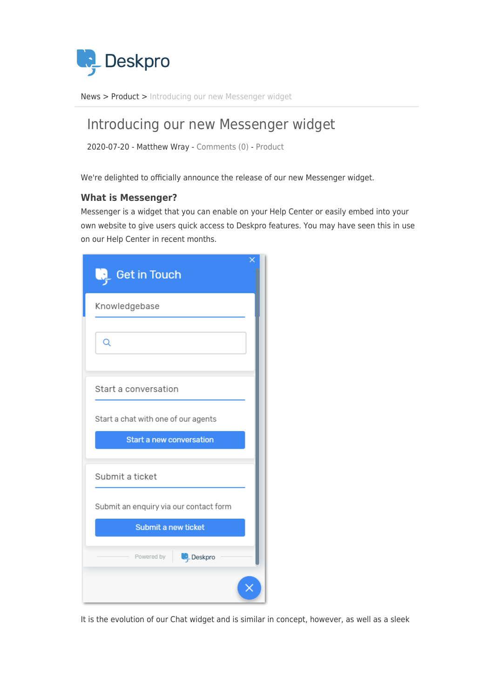

[News](https://support.deskpro.com/ga/news) > [Product](https://support.deskpro.com/ga/news/product) > [Introducing our new Messenger widget](https://support.deskpro.com/ga/news/posts/introducing-messenger-widget)

# Introducing our new Messenger widget

2020-07-20 - Matthew Wray - [Comments \(0\)](#page--1-0) - [Product](https://support.deskpro.com/ga/news/product)

We're delighted to officially announce the release of our new Messenger widget.

## **What is Messenger?**

Messenger is a widget that you can enable on your Help Center or easily embed into your own website to give users quick access to Deskpro features. You may have seen this in use on our Help Center in recent months.

| ×<br>$\sqrt{2}$ Get in Touch<br>چی)    |
|----------------------------------------|
| Knowledgebase                          |
| Q                                      |
| Start a conversation                   |
| Start a chat with one of our agents    |
| <b>Start a new conversation</b>        |
| Submit a ticket                        |
| Submit an enquiry via our contact form |
| Submit a new ticket                    |
| Deskpro<br>Powered by                  |
|                                        |

It is the evolution of our Chat widget and is similar in concept, however, as well as a sleek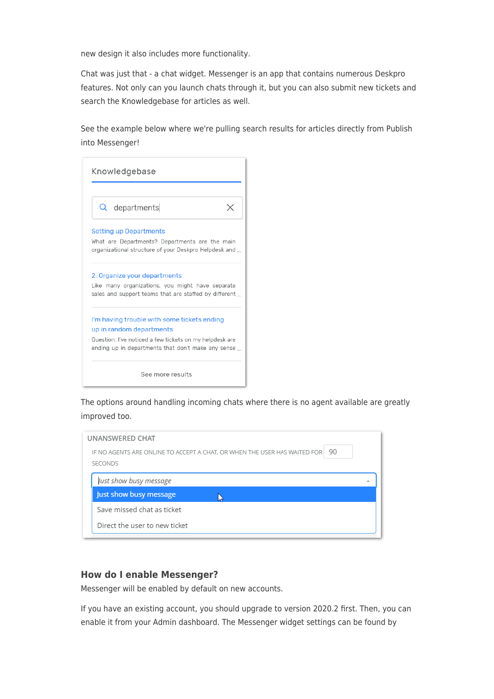new design it also includes more functionality.

Chat was just that - a chat widget. Messenger is an app that contains numerous Deskpro features. Not only can you launch chats through it, but you can also submit new tickets and search the Knowledgebase for articles as well.

See the example below where we're pulling search results for articles directly from Publish into Messenger!

| Knowledgebase                                                                                                 |  |
|---------------------------------------------------------------------------------------------------------------|--|
| Q departments                                                                                                 |  |
| <b>Setting up Departments</b>                                                                                 |  |
| What are Departments? Departments are the main<br>organizational structure of your Deskpro Helpdesk and       |  |
| 2. Organize your departments                                                                                  |  |
| Like many organizations, you might have separate<br>sales and support teams that are staffed by different     |  |
| I'm having trouble with some tickets ending                                                                   |  |
| up in random departments                                                                                      |  |
| Question: I've noticed a few tickets on my helpdesk are<br>ending up in departments that don't make any sense |  |
| See more results                                                                                              |  |

The options around handling incoming chats where there is no agent available are greatly improved too.

#### **How do I enable Messenger?**

Messenger will be enabled by default on new accounts.

If you have an existing account, you should upgrade to version 2020.2 first. Then, you can enable it from your Admin dashboard. The Messenger widget settings can be found by